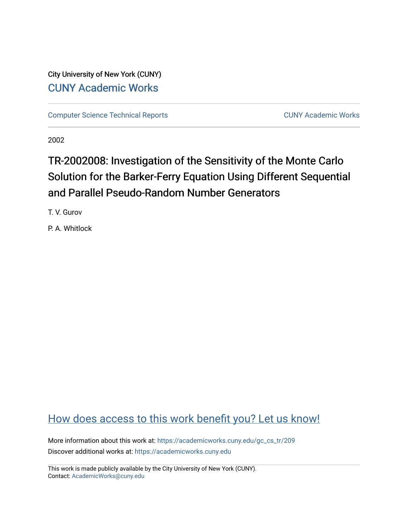City University of New York (CUNY) [CUNY Academic Works](https://academicworks.cuny.edu/) 

[Computer Science Technical Reports](https://academicworks.cuny.edu/gc_cs_tr) **CUNY Academic Works** CUNY Academic Works

2002

# TR-2002008: Investigation of the Sensitivity of the Monte Carlo Solution for the Barker-Ferry Equation Using Different Sequential and Parallel Pseudo-Random Number Generators

T. V. Gurov

P. A. Whitlock

## [How does access to this work benefit you? Let us know!](http://ols.cuny.edu/academicworks/?ref=https://academicworks.cuny.edu/gc_cs_tr/209)

More information about this work at: [https://academicworks.cuny.edu/gc\\_cs\\_tr/209](https://academicworks.cuny.edu/gc_cs_tr/209)  Discover additional works at: [https://academicworks.cuny.edu](https://academicworks.cuny.edu/?)

This work is made publicly available by the City University of New York (CUNY). Contact: [AcademicWorks@cuny.edu](mailto:AcademicWorks@cuny.edu)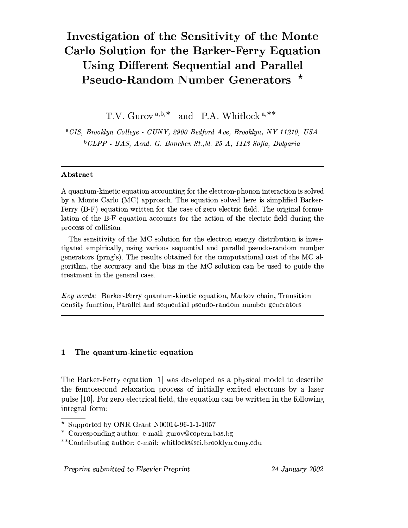## Investigation of the Sensitivity of the Monte Carlo Solution for the Barker-Ferry Equation **Using Different Sequential and Parallel** Pseudo-Random Number Generators \*

T.V. Gurov<sup>a,b,\*</sup> and P.A. Whitlock<sup>a,\*\*</sup>

<sup>a</sup>CIS, Brooklyn College - CUNY, 2900 Bedford Ave, Brooklyn, NY 11210, USA  $b$  CLPP - BAS, Acad, G. Bonchev St., bl. 25 A, 1113 Sofia, Bulgaria

### Abstract

A quantum-kinetic equation accounting for the electron-phonon interaction is solved by a Monte Carlo (MC) approach. The equation solved here is simplified Barker-Ferry (B-F) equation written for the case of zero electric field. The original formulation of the B-F equation accounts for the action of the electric field during the process of collision.

The sensitivity of the MC solution for the electron energy distribution is investigated empirically, using various sequential and parallel pseudo-random number generators (prng's). The results obtained for the computational cost of the MC algorithm, the accuracy and the bias in the MC solution can be used to guide the treatment in the general case.

Key words: Barker-Ferry quantum-kinetic equation, Markov chain, Transition density function, Parallel and sequential pseudo-random number generators

#### $\mathbf{1}$ The quantum-kinetic equation

The Barker-Ferry equation [1] was developed as a physical model to describe the femtosecond relaxation process of initially excited electrons by a laser pulse [10]. For zero electrical field, the equation can be written in the following integral form:

Preprint submitted to Elsevier Preprint

24 January 2002

 $\overline{\star}$  Supported by ONR Grant N00014-96-1-1-1057

<sup>\*</sup> Corresponding author: e-mail: gurov@copern.bas.bg

<sup>\*\*</sup>Contributing author: e-mail: whitlock@sci.brooklyn.cuny.edu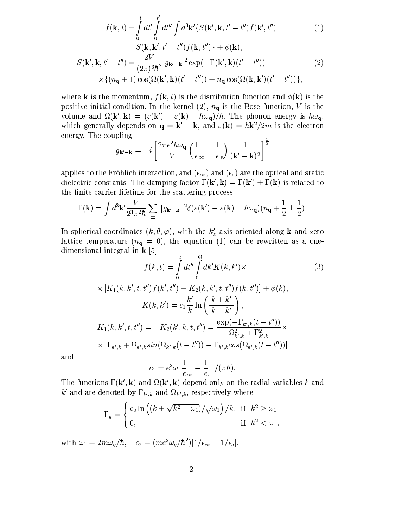$$
f(\mathbf{k},t) = \int_{0}^{t} dt' \int_{0}^{t'} dt'' \int d^{3} \mathbf{k}' \{ S(\mathbf{k}', \mathbf{k}, t' - t'') f(\mathbf{k}', t'') \qquad (1)
$$

$$
- S(\mathbf{k}, \mathbf{k}', t' - t'') f(\mathbf{k}, t'') \} + \phi(\mathbf{k}),
$$

$$
S(\mathbf{k}', \mathbf{k}, t' - t'') = \frac{2V}{(2\pi)^{3} \hbar^{2}} |g_{\mathbf{k}' - \mathbf{k}}|^{2} \exp(-\Gamma(\mathbf{k}', \mathbf{k})(t' - t'')) \qquad (2)
$$

$$
\times \{ (n_{\mathbf{q}} + 1) \cos(\Omega(\mathbf{k}', \mathbf{k})(t' - t'')) + n_{\mathbf{q}} \cos(\Omega(\mathbf{k}, \mathbf{k}')(t' - t'')) \},
$$

where **k** is the momentum,  $f(\mathbf{k}, t)$  is the distribution function and  $\phi(\mathbf{k})$  is the positive initial condition. In the kernel (2),  $n_q$  is the Bose function, V is the volume and  $\Omega(\mathbf{k}', \mathbf{k}) = (\varepsilon(\mathbf{k}') - \varepsilon(\mathbf{k}) - \hbar \omega_{q})/\hbar$ . The phonon energy is  $\hbar \omega_{q}$ , which generally depends on  $\mathbf{q} = \mathbf{k}' - \mathbf{k}$ , and  $\varepsilon(\mathbf{k}) = \hbar \mathbf{k}^2 / 2m$  is the electron energy. The coupling

$$
g_{\mathbf{k}'-\mathbf{k}} = -i \left[ \frac{2\pi e^2 \hbar \omega_{\mathbf{q}}}{V} \left( \frac{1}{\epsilon_{\infty}} - \frac{1}{\epsilon_{s}} \right) \frac{1}{(\mathbf{k}' - \mathbf{k})^2} \right]^{\frac{1}{2}}
$$

applies to the Fröhlich interaction, and  $(\epsilon_{\infty})$  and  $(\epsilon_s)$  are the optical and static dielectric constants. The damping factor  $\Gamma(\mathbf{k}', \mathbf{k}) = \Gamma(\mathbf{k}') + \Gamma(\mathbf{k})$  is related to the finite carrier lifetime for the scattering process:

$$
\Gamma(\mathbf{k}) = \int d^3 \mathbf{k}' \frac{V}{2^3 \pi^2 \hbar} \sum_{\pm} ||g_{\mathbf{k}' - \mathbf{k}}||^2 \delta(\varepsilon(\mathbf{k}') - \varepsilon(\mathbf{k}) \pm \hbar \omega_\mathbf{q}) (n_\mathbf{q} + \frac{1}{2} \pm \frac{1}{2})
$$

In spherical coordinates  $(k, \theta, \varphi)$ , with the  $k'_z$  axis oriented along **k** and zero lattice temperature  $(n_q = 0)$ , the equation (1) can be rewritten as a onedimensional integral in  $\mathbf{k}$  [5]:

$$
f(k,t) = \int_{0}^{t} dt'' \int_{0}^{Q} dk' K(k, k') \times
$$
  
 
$$
\times [K_1(k, k', t, t'') f(k', t'') + K_2(k, k', t, t'') f(k, t'')] + \phi(k),
$$
  
 
$$
K(k, k') = c_1 \frac{k'}{k} \ln \left( \frac{k + k'}{|k - k'|} \right),
$$

$$
K_1(k, k', t, t'') = -K_2(k', k, t, t'') = \frac{\exp(-\Gamma_{k',k}(t - t''))}{\Omega_{k',k}^2 + \Gamma_{k',k}^2} \times
$$
  
 
$$
\times [\Gamma_{k',k} + \Omega_{k',k} sin(\Omega_{k',k}(t - t'')) - \Gamma_{k',k} cos(\Omega_{k',k}(t - t''))]
$$

and

$$
c_1 = e^2 \omega \left| \frac{1}{\epsilon_{\infty}} - \frac{1}{\epsilon_s} \right| / (\pi \hbar).
$$

The functions  $\Gamma(\mathbf{k}', \mathbf{k})$  and  $\Omega(\mathbf{k}', \mathbf{k})$  depend only on the radial variables k and k' and are denoted by  $\Gamma_{k',k}$  and  $\Omega_{k',k}$ , respectively where

$$
\Gamma_k = \begin{cases} c_2 \ln \left( (k + \sqrt{k^2 - \omega_1}) / \sqrt{\omega_1} \right) / k, & \text{if } k^2 \ge \omega_1 \\ 0, & \text{if } k^2 < \omega_1, \end{cases}
$$

with  $\omega_1 = 2m\omega_q/\hbar$ ,  $c_2 = (me^2\omega_q/\hbar^2)|1/\epsilon_{\infty} - 1/\epsilon_s|$ .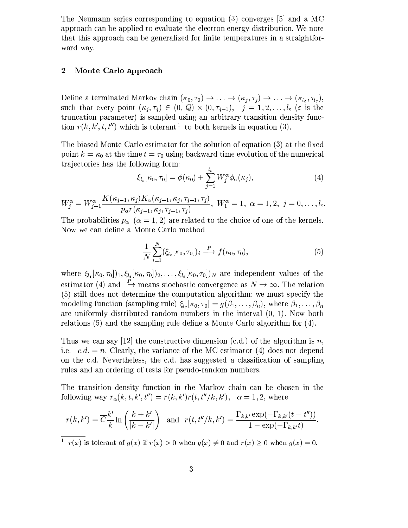The Neumann series corresponding to equation (3) converges  $[5]$  and a MC approach can be applied to evaluate the electron energy distribution. We note that this approach can be generalized for finite temperatures in a straightforward way.

#### $\overline{2}$ Monte Carlo approach

Define a terminated Markov chain  $(\kappa_0, \tau_0) \to \ldots \to (\kappa_j, \tau_j) \to \ldots \to (\kappa_{l_{\varepsilon}}, \tau_{l_{\varepsilon}}),$ such that every point  $(\kappa_j, \tau_j) \in (0, Q) \times (0, \tau_{j-1}), \quad j = 1, 2, \ldots, l_{\varepsilon}$  ( $\varepsilon$  is the truncation parameter) is sampled using an arbitrary transition density function  $r(k, k', t, t'')$  which is tolerant <sup>1</sup> to both kernels in equation (3).

The biased Monte Carlo estimator for the solution of equation (3) at the fixed point  $k = \kappa_0$  at the time  $t = \tau_0$  using backward time evolution of the numerical trajectories has the following form:

$$
\xi_{l_{\varepsilon}}[\kappa_0, \tau_0] = \phi(\kappa_0) + \sum_{j=1}^{l_{\varepsilon}} W_j^{\alpha} \phi_{\alpha}(\kappa_j), \tag{4}
$$

 $W_j^{\alpha} = W_{j-1}^{\alpha} \frac{K(\kappa_{j-1}, \kappa_j) K_{\alpha}(\kappa_{j-1}, \kappa_j, \tau_{j-1}, \tau_j)}{p_{\alpha} r(\kappa_{j-1}, \kappa_j, \tau_{j-1}, \tau_j)}, \ W_1^{\alpha} = 1, \ \alpha = 1, 2, \ j = 0, \ldots, l_{\varepsilon}.$ 

The probabilities  $p_{\alpha}$  ( $\alpha = 1, 2$ ) are related to the choice of one of the kernels. Now we can define a Monte Carlo method

$$
\frac{1}{N} \sum_{i=1}^{N} (\xi_{l_{\varepsilon}}[\kappa_0, \tau_0])_i \stackrel{P}{\longrightarrow} f(\kappa_0, \tau_0), \tag{5}
$$

where  $\xi_{l_{\varepsilon}}[\kappa_0, \tau_0]$ ,  $\xi_{l_{\varepsilon}}[\kappa_0, \tau_0]$ , ...,  $\xi_{l_{\varepsilon}}[\kappa_0, \tau_0]$ , are independent values of the estimator (4) and  $\stackrel{P}{\longrightarrow}$  means stochastic convergence as  $N \to \infty$ . The relation (5) still does not determine the computation algorithm: we must specify the modeling function (sampling rule)  $\xi_{l_{\varepsilon}}[\kappa_0, \tau_0] = g(\beta_1, \ldots, \beta_n)$ , where  $\beta_1, \ldots, \beta_n$ are uniformly distributed random numbers in the interval  $(0, 1)$ . Now both relations  $(5)$  and the sampling rule define a Monte Carlo algorithm for  $(4)$ .

Thus we can say [12] the constructive dimension (c.d.) of the algorithm is n, i.e.  $c.d. = n$ . Clearly, the variance of the MC estimator (4) does not depend on the c.d. Nevertheless, the c.d. has suggested a classification of sampling rules and an ordering of tests for pseudo-random numbers.

The transition density function in the Markov chain can be chosen in the following way  $r_{\alpha}(k, t, k', t'') = r(k, k')r(t, t''/k, k')$ ,  $\alpha = 1, 2$ , where

$$
r(k, k') = \overline{C} \frac{k'}{k} \ln \left( \frac{k + k'}{|k - k'|} \right) \quad \text{and} \quad r(t, t''/k, k') = \frac{\Gamma_{k, k'} \exp(-\Gamma_{k, k'}(t - t''))}{1 - \exp(-\Gamma_{k, k'}t)}
$$

 $\frac{1}{1-r(x)}$  is tolerant of  $g(x)$  if  $r(x) > 0$  when  $g(x) \neq 0$  and  $r(x) \geq 0$  when  $g(x) = 0$ .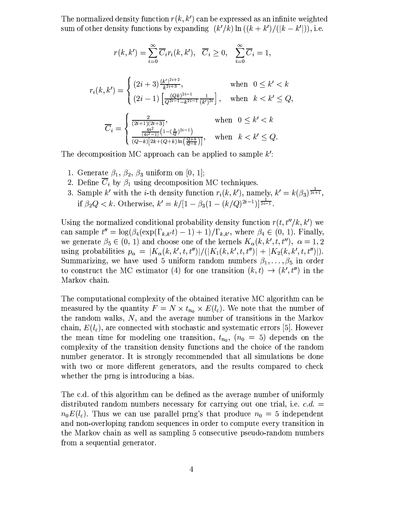The normalized density function  $r(k, k')$  can be expressed as an infinite weighted sum of other density functions by expanding  $(k'/k) \ln((k+k')/((k-k')))$ , i.e.

$$
r(k, k') = \sum_{i=0}^{\infty} \overline{C}_{i} r_{i}(k, k'), \quad \overline{C}_{i} \ge 0, \quad \sum_{i=0}^{\infty} \overline{C}_{i} = 1,
$$
  

$$
r_{i}(k, k') = \begin{cases} (2i+3) \frac{(k')^{2i+2}}{k^{2i+3}}, & \text{when } 0 \le k' < k \\ (2i-1) \left[ \frac{(Qk)^{2i-1}}{Q^{2i-1}-k^{2i-1}} \frac{1}{(k')^{2i}} \right], & \text{when } k < k' \le Q, \end{cases}
$$
  

$$
\overline{C}_{i} = \begin{cases} \frac{2}{(2i+1)(2i+3)}, & \text{when } 0 \le k' < k \\ \frac{4k^{2}}{(4i^{2}-1)} \left(1 - \left(\frac{k}{Q}\right)^{2i-1}\right), & \text{when } k < k' \le Q, \end{cases}
$$

The decomposition MC approach can be applied to sample  $k$ .

- 1. Generate  $\beta_1$ ,  $\beta_2$ ,  $\beta_3$  uniform on [0, 1];
- 2. Define  $\overline{C}_i$  by  $\beta_1$  using decomposition MC techniques.
- 3. Sample k' with the *i*-th density function  $r_i(k, k')$ , namely,  $k' = k(\beta_3)^{\frac{1}{2i+1}}$ , if  $\beta_2 Q < k$ . Otherwise,  $k' = k/[1 - \beta_3(1 - (k/Q)^{2i-1})]^{\frac{1}{2i-1}}$ .

Using the normalized conditional probability density function  $r(t, t''/k, k')$  we can sample  $t'' = \log(\beta_4(\exp(\Gamma_{k,k'}t) - 1) + 1)/\Gamma_{k,k'}$ , where  $\beta_4 \in (0, 1)$ . Finally, we generate  $\beta_5 \in (0, 1)$  and choose one of the kernels  $K_{\alpha}(k, k', t, t'')$ ,  $\alpha = 1, 2$ using probabilities  $p_{\alpha} = |K_{\alpha}(k, k', t, t'')|/(|K_1(k, k', t, t'')| + |K_2(k, k', t, t'')|).$ Summarizing, we have used 5 uniform random numbers  $\beta_1, \ldots, \beta_5$  in order to construct the MC estimator (4) for one transition  $(k, t) \rightarrow (k', t'')$  in the Markov chain.

The computational complexity of the obtained iterative MC algorithm can be measured by the quantity  $F = N \times t_{n_0} \times E(l_{\varepsilon})$ . We note that the number of the random walks,  $N$ , and the average number of transitions in the Markov chain,  $E(l_{\varepsilon})$ , are connected with stochastic and systematic errors [5]. However the mean time for modeling one transition,  $t_{n_0}$ ,  $(n_0 = 5)$  depends on the complexity of the transition density functions and the choice of the random number generator. It is strongly recommended that all simulations be done with two or more different generators, and the results compared to check whether the prng is introducing a bias.

The c.d. of this algorithm can be defined as the average number of uniformly distributed random numbers necessary for carrying out one trial, i.e.  $c.d.$  $n_0E(l_{\varepsilon})$ . Thus we can use parallel prng's that produce  $n_0 = 5$  independent and non-overloping random sequences in order to compute every transition in the Markov chain as well as sampling 5 consecutive pseudo-random numbers from a sequential generator.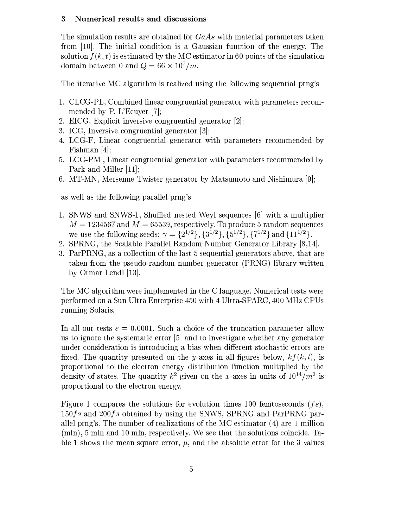#### $\bf{3}$ Numerical results and discussions

The simulation results are obtained for  $GaAs$  with material parameters taken from [10]. The initial condition is a Gaussian function of the energy. The solution  $f(k, t)$  is estimated by the MC estimator in 60 points of the simulation domain between 0 and  $Q = 66 \times 10^7/m$ .

The iterative MC algorithm is realized using the following sequential prng's

- 1. CLCG-PL, Combined linear congruential generator with parameters recommended by P. L'Ecuver [7];
- 2. EICG, Explicit inversive congruential generator [2];
- 3. ICG, Inversive congruential generator [3];
- 4. LCG-F, Linear congruential generator with parameters recommended by Fishman  $[4]$ ;
- 5. LCG-PM, Linear congruential generator with parameters recommended by Park and Miller [11];
- 6. MT-MN, Mersenne Twister generator by Matsumoto and Nishimura [9];

as well as the following parallel prng's

- 1. SNWS and SNWS-1, Shuffled nested Weyl sequences [6] with a multiplier  $M = 1234567$  and  $M = 65539$ , respectively. To produce 5 random sequences we use the following seeds:  $\gamma = \{2^{1/2}\}, \{3^{1/2}\}, \{5^{1/2}\}, \{7^{1/2}\}$  and  $\{11^{1/2}\}.$
- 2. SPRNG, the Scalable Parallel Random Number Generator Library [8,14].
- 3. ParPRNG, as a collection of the last 5 sequential generators above, that are taken from the pseudo-random number generator (PRNG) library written by Otmar Lendl [13].

The MC algorithm were implemented in the C language. Numerical tests were performed on a Sun Ultra Enterprise 450 with 4 Ultra-SPARC, 400 MHz CPUs running Solaris.

In all our tests  $\varepsilon = 0.0001$ . Such a choice of the truncation parameter allow us to ignore the systematic error [5] and to investigate whether any generator under consideration is introducing a bias when different stochastic errors are fixed. The quantity presented on the y-axes in all figures below,  $kf(k, t)$ , is proportional to the electron energy distribution function multiplied by the density of states. The quantity  $k^2$  given on the x-axes in units of  $10^{14}/m^2$  is proportional to the electron energy.

Figure 1 compares the solutions for evolution times 100 femtoseconds  $(fs)$ .  $150fs$  and  $200fs$  obtained by using the SNWS, SPRNG and ParPRNG parallel pring's. The number of realizations of the MC estimator (4) are 1 million  $(\text{mln})$ , 5 mln and 10 mln, respectively. We see that the solutions coincide. Table 1 shows the mean square error,  $\mu$ , and the absolute error for the 3 values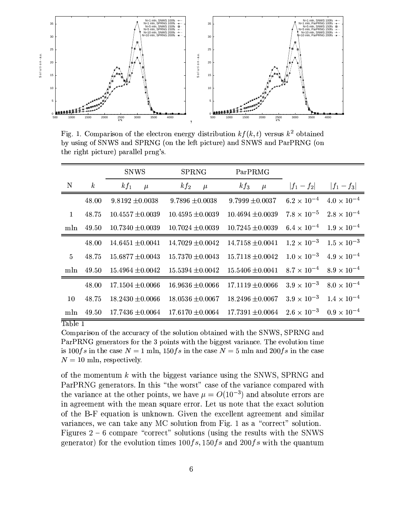

Fig. 1. Comparison of the electron energy distribution  $kf(k, t)$  versus  $k^2$  obtained by using of SNWS and SPRNG (on the left picture) and SNWS and ParPRNG (on the right picture) parallel prng's.

|              |                  | <b>SNWS</b>          | <b>SPRNG</b>         | ParPRMG              |                                           |                                           |
|--------------|------------------|----------------------|----------------------|----------------------|-------------------------------------------|-------------------------------------------|
| N            | $\boldsymbol{k}$ | $kf_1$<br>$\mu$      | $kf_2$<br>$\mu$      | $kf_3$<br>$\mu$      | $ f_1 - f_2 $                             | $ f_1 - f_3 $                             |
|              | 48.00            | $9.8192 \pm 0.0038$  | $9.7896 \pm 0.0038$  | $9.7999 \pm 0.0037$  | $6.2 \times 10^{-4}$                      | $4.0 \times 10^{-4}$                      |
| $\mathbf{1}$ | 48.75            | $10.4557 \pm 0.0039$ | $10.4595 \pm 0.0039$ | $10.4694 \pm 0.0039$ | $7.8 \times 10^{-5}$                      | $2.8 \times 10^{-4}$                      |
| mln          | 49.50            | $10.7340 \pm 0.0039$ | $10.7024 \pm 0.0039$ | $10.7245 \pm 0.0039$ | $6.4 \times 10^{-4}$ $1.9 \times 10^{-4}$ |                                           |
|              | 48.00            | $14.6451 \pm 0.0041$ | $14.7029 \pm 0.0042$ | $14.7158 \pm 0.0041$ |                                           | $1.2 \times 10^{-3}$ $1.5 \times 10^{-3}$ |
| $5^{\circ}$  | 48.75            | $15.6877 \pm 0.0043$ | $15.7370 \pm 0.0043$ | $15.7118 \pm 0.0042$ | $1.0 \times 10^{-3}$                      | $4.9 \times 10^{-4}$                      |
| mln          | 49.50            | $15.4964 \pm 0.0042$ | $15.5394 \pm 0.0042$ | $15.5406 \pm 0.0041$ | $8.7 \times 10^{-4}$ $8.9 \times 10^{-4}$ |                                           |
|              | 48.00            | $17.1504 \pm 0.0066$ | $16.9636 \pm 0.0066$ | $17.1119 \pm 0.0066$ | $3.9 \times 10^{-3}$                      | $8.0 \times 10^{-4}$                      |
| 10           | 48.75            | $18.2430 \pm 0.0066$ | $18.0536 \pm 0.0067$ | $18.2496 \pm 0.0067$ | $3.9 \times 10^{-3}$                      | $1.4 \times 10^{-4}$                      |
| mln          | 49.50            | $17.7436 \pm 0.0064$ | $17.6170 \pm 0.0064$ | $17.7391 \pm 0.0064$ | $2.6 \times 10^{-3}$                      | $0.9 \times 10^{-4}$                      |

### Table 1

Comparison of the accuracy of the solution obtained with the SNWS, SPRNG and ParPRNG generators for the 3 points with the biggest variance. The evolution time is 100fs in the case  $N = 1$  mln, 150fs in the case  $N = 5$  mln and 200fs in the case  $N = 10$  mln, respectively.

of the momentum  $k$  with the biggest variance using the SNWS, SPRNG and ParPRNG generators. In this "the worst" case of the variance compared with the variance at the other points, we have  $\mu = O(10^{-3})$  and absolute errors are in agreement with the mean square error. Let us note that the exact solution of the B-F equation is unknown. Given the excellent agreement and similar variances, we can take any MC solution from Fig. 1 as a "correct" solution. Figures  $2 - 6$  compare "correct" solutions (using the results with the SNWS generator) for the evolution times  $100fs, 150fs$  and  $200fs$  with the quantum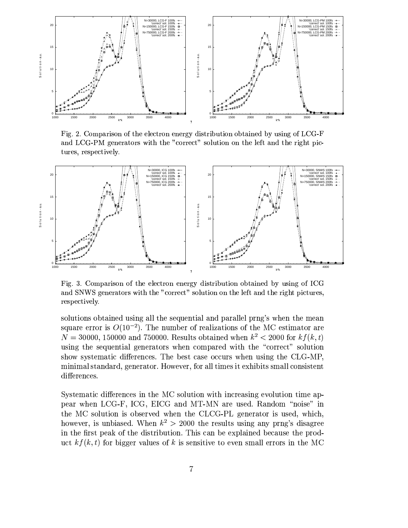

Fig. 2. Comparison of the electron energy distribution obtained by using of LCG-F and LCG-PM generators with the "correct" solution on the left and the right pictures, respectively.



Fig. 3. Comparison of the electron energy distribution obtained by using of ICG and SNWS generators with the "correct" solution on the left and the right pictures, respectively.

solutions obtained using all the sequential and parallel prng's when the mean square error is  $O(10^{-2})$ . The number of realizations of the MC estimator are  $N = 30000, 150000$  and 750000. Results obtained when  $k^2 < 2000$  for  $k f(k, t)$ using the sequential generators when compared with the "correct" solution show systematic differences. The best case occurs when using the CLG-MP, minimal standard, generator. However, for all times it exhibits small consistent differences.

Systematic differences in the MC solution with increasing evolution time appear when LCG-F, ICG, EICG and MT-MN are used. Random "noise" in the MC solution is observed when the CLCG-PL generator is used, which, however, is unbiased. When  $k^2 > 2000$  the results using any prng's disagree in the first peak of the distribution. This can be explained because the product  $kf(k, t)$  for bigger values of k is sensitive to even small errors in the MC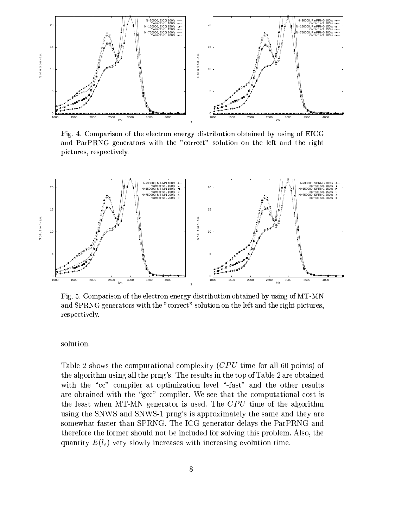

Fig. 4. Comparison of the electron energy distribution obtained by using of EICG and ParPRNG generators with the "correct" solution on the left and the right pictures, respectively.



Fig. 5. Comparison of the electron energy distribution obtained by using of MT-MN and SPRNG generators with the "correct" solution on the left and the right pictures, respectively.

solution.

Table 2 shows the computational complexity  $(CPU$  time for all 60 points) of the algorithm using all the prng's. The results in the top of Table 2 are obtained with the "cc" compiler at optimization level "-fast" and the other results are obtained with the "gcc" compiler. We see that the computational cost is the least when MT-MN generator is used. The CPU time of the algorithm using the SNWS and SNWS-1 prng's is approximately the same and they are somewhat faster than SPRNG. The ICG generator delays the ParPRNG and therefore the former should not be included for solving this problem. Also, the quantity  $E(l_{\varepsilon})$  very slowly increases with increasing evolution time.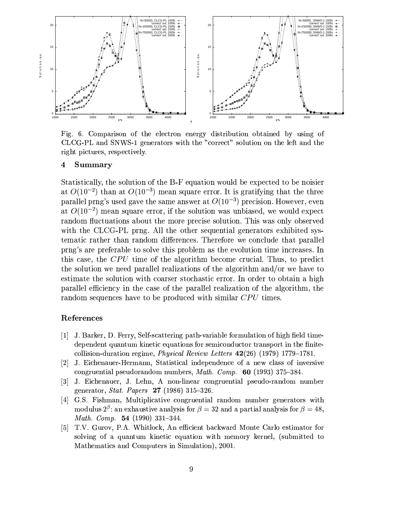

Fig. 6. Comparison of the electron energy distribution obtained by using of CLCG-PL and SNWS-1 generators with the "correct" solution on the left and the right pictures, respectively.

#### $\overline{\mathbf{4}}$ Summary

Statistically, the solution of the B-F equation would be expected to be noisier at  $O(10^{-2})$  than at  $O(10^{-3})$  mean square error. It is gratifying that the three parallel prng's used gave the same answer at  $O(10^{-3})$  precision. However, even at  $O(10^{-2})$  mean square error, if the solution was unbiased, we would expect random fluctuations about the more precise solution. This was only observed with the CLCG-PL prng. All the other sequential generators exhibited systematic rather than random differences. Therefore we conclude that parallel pring's are preferable to solve this problem as the evolution time increases. In this case, the CPU time of the algorithm become crucial. Thus, to predict the solution we need parallel realizations of the algorithm and/or we have to estimate the solution with coarser stochastic error. In order to obtain a high parallel efficiency in the case of the parallel realization of the algorithm, the random sequences have to be produced with similar CPU times.

## References

- [1] J. Barker, D. Ferry, Self-scattering path-variable formulation of high field timedependent quantum kinetic equations for semiconductor transport in the finitecollision-duration regime, *Physical Review Letters*  $42(26)$  (1979) 1779–1781.
- [2] J. Eichenauer-Hermann, Statistical independence of a new class of inversive congruential pseudorandom numbers, Math. Comp.  $60$  (1993) 375-384.
- [3] J. Eichenauer, J. Lehn, A non-linear congruential pseudo-random number generator, *Stat. Papers*  $27$  (1986) 315-326.
- G.S. Fishman, Multiplicative congruential random number generators with  $\lceil 4 \rceil$ modulus  $2^{\beta}$ : an exhaustive analysis for  $\beta = 32$  and a partial analysis for  $\beta = 48$ , Math. Comp. 54 (1990) 331-344.
- [5] T.V. Gurov, P.A. Whitlock, An efficient backward Monte Carlo estimator for solving of a quantum kinetic equation with memory kernel, (submitted to Mathematics and Computers in Simulation), 2001.